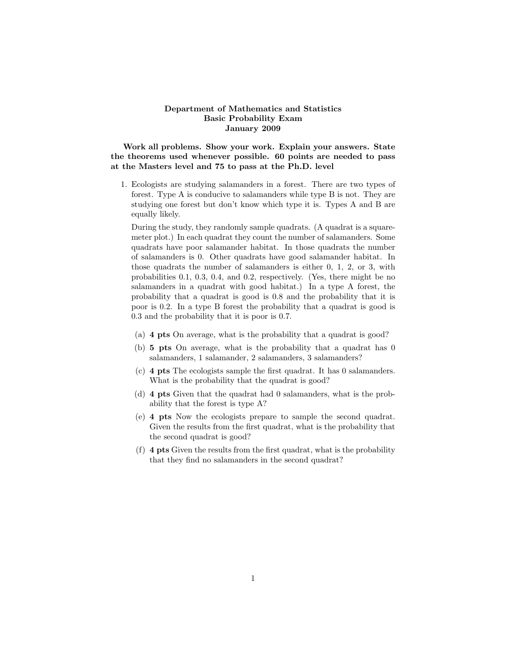## Department of Mathematics and Statistics Basic Probability Exam January 2009

Work all problems. Show your work. Explain your answers. State the theorems used whenever possible. 60 points are needed to pass at the Masters level and 75 to pass at the Ph.D. level

1. Ecologists are studying salamanders in a forest. There are two types of forest. Type A is conducive to salamanders while type B is not. They are studying one forest but don't know which type it is. Types A and B are equally likely.

During the study, they randomly sample quadrats. (A quadrat is a squaremeter plot.) In each quadrat they count the number of salamanders. Some quadrats have poor salamander habitat. In those quadrats the number of salamanders is 0. Other quadrats have good salamander habitat. In those quadrats the number of salamanders is either 0, 1, 2, or 3, with probabilities 0.1, 0.3, 0.4, and 0.2, respectively. (Yes, there might be no salamanders in a quadrat with good habitat.) In a type A forest, the probability that a quadrat is good is 0.8 and the probability that it is poor is 0.2. In a type B forest the probability that a quadrat is good is 0.3 and the probability that it is poor is 0.7.

- (a) 4 pts On average, what is the probability that a quadrat is good?
- (b) 5 pts On average, what is the probability that a quadrat has 0 salamanders, 1 salamander, 2 salamanders, 3 salamanders?
- (c) 4 pts The ecologists sample the first quadrat. It has 0 salamanders. What is the probability that the quadrat is good?
- (d) 4 pts Given that the quadrat had 0 salamanders, what is the probability that the forest is type A?
- (e) 4 pts Now the ecologists prepare to sample the second quadrat. Given the results from the first quadrat, what is the probability that the second quadrat is good?
- (f) 4 pts Given the results from the first quadrat, what is the probability that they find no salamanders in the second quadrat?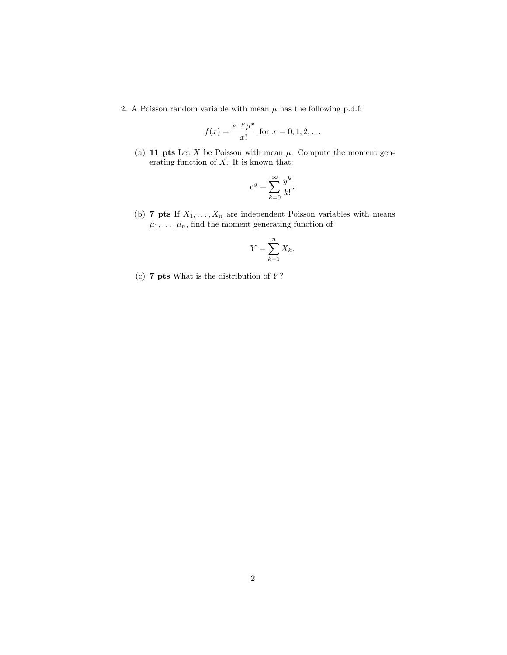2. A Poisson random variable with mean  $\mu$  has the following p.d.f:

$$
f(x) = \frac{e^{-\mu}\mu^x}{x!}
$$
, for  $x = 0, 1, 2, ...$ 

(a) 11 pts Let X be Poisson with mean  $\mu$ . Compute the moment generating function of  $X$ . It is known that:

$$
e^y = \sum_{k=0}^{\infty} \frac{y^k}{k!}.
$$

(b) 7 pts If  $X_1, \ldots, X_n$  are independent Poisson variables with means  $\mu_1, \ldots, \mu_n$ , find the moment generating function of

$$
Y = \sum_{k=1}^{n} X_k.
$$

(c)  $7$  pts What is the distribution of  $Y$ ?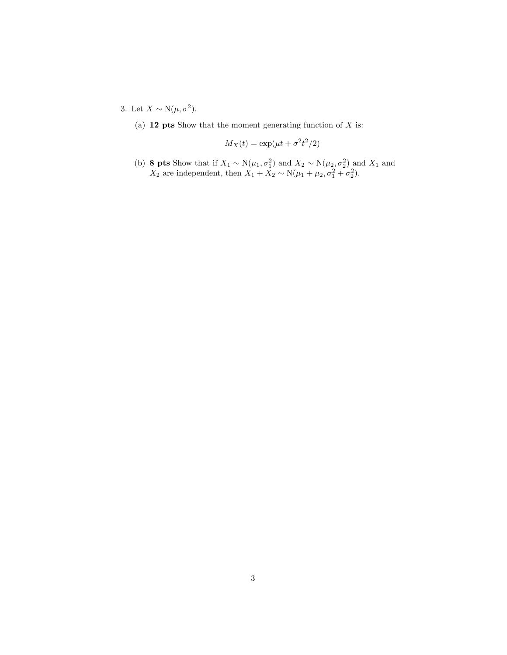3. Let  $X \sim N(\mu, \sigma^2)$ .

(a)  $12$  pts Show that the moment generating function of X is:

$$
M_X(t) = \exp(\mu t + \sigma^2 t^2/2)
$$

(b) 8 pts Show that if  $X_1 \sim N(\mu_1, \sigma_1^2)$  and  $X_2 \sim N(\mu_2, \sigma_2^2)$  and  $X_1$  and  $X_2$  are independent, then  $X_1 + X_2 \sim N(\mu_1 + \mu_2, \sigma_1^2 + \sigma_2^2)$ .